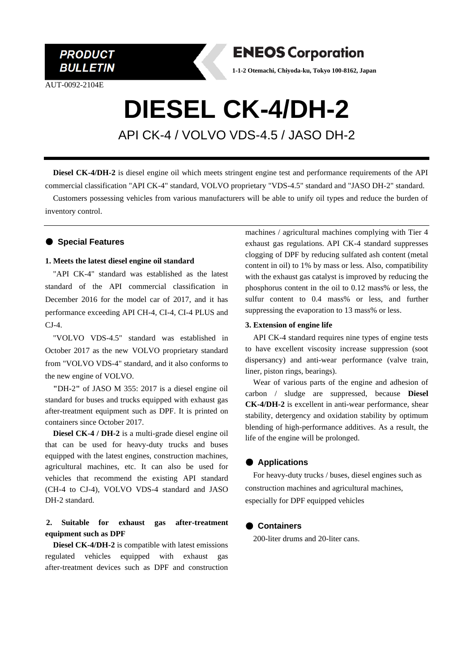

AUT-0092-2104E



**1-1-2 Otemachi, Chiyoda-ku, Tokyo 100-8162, Japan**

# **DIESEL CK-4/DH-2**

API CK-4 / VOLVO VDS-4.5 / JASO DH-2

**Diesel CK-4/DH-2** is diesel engine oil which meets stringent engine test and performance requirements of the API commercial classification "API CK-4" standard, VOLVO proprietary "VDS-4.5" standard and "JASO DH-2" standard.

Customers possessing vehicles from various manufacturers will be able to unify oil types and reduce the burden of inventory control.

#### ● **Special Features**

#### **1. Meets the latest diesel engine oil standard**

"API CK-4" standard was established as the latest standard of the API commercial classification in December 2016 for the model car of 2017, and it has performance exceeding API CH-4, CI-4, CI-4 PLUS and CJ-4.

"VOLVO VDS-4.5" standard was established in October 2017 as the new VOLVO proprietary standard from "VOLVO VDS-4" standard, and it also conforms to the new engine of VOLVO.

**"**DH-2**"** of JASO M 355: 2017 is a diesel engine oil standard for buses and trucks equipped with exhaust gas after-treatment equipment such as DPF. It is printed on containers since October 2017.

**Diesel CK-4 / DH-2** is a multi-grade diesel engine oil that can be used for heavy-duty trucks and buses equipped with the latest engines, construction machines, agricultural machines, etc. It can also be used for vehicles that recommend the existing API standard (CH-4 to CJ-4), VOLVO VDS-4 standard and JASO DH-2 standard.

## **2. Suitable for exhaust gas after-treatment equipment such as DPF**

**Diesel CK-4/DH-2** is compatible with latest emissions regulated vehicles equipped with exhaust gas after-treatment devices such as DPF and construction

machines / agricultural machines complying with Tier 4 exhaust gas regulations. API CK-4 standard suppresses clogging of DPF by reducing sulfated ash content (metal content in oil) to 1% by mass or less. Also, compatibility with the exhaust gas catalyst is improved by reducing the phosphorus content in the oil to 0.12 mass% or less, the sulfur content to 0.4 mass% or less, and further suppressing the evaporation to 13 mass% or less.

#### **3. Extension of engine life**

API CK-4 standard requires nine types of engine tests to have excellent viscosity increase suppression (soot dispersancy) and anti-wear performance (valve train, liner, piston rings, bearings).

Wear of various parts of the engine and adhesion of carbon / sludge are suppressed, because **Diesel CK-4/DH-2** is excellent in anti-wear performance, shear stability, detergency and oxidation stability by optimum blending of high-performance additives. As a result, the life of the engine will be prolonged.

#### ● **Applications**

For heavy-duty trucks / buses, diesel engines such as construction machines and agricultural machines, especially for DPF equipped vehicles

#### ● **Containers**

200-liter drums and 20-liter cans.